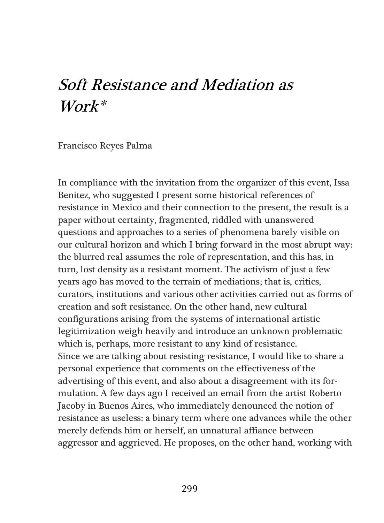# Soft Resistance and Mediation as  $Work*$

Francisco Reyes Palma

In compliance with the invitation from the organizer of this event, Issa Benitez, who suggested I present some historical references of resistance in Mexico and their connection to the present, the result is a paper without certainty, fragmented, riddled with unanswered questions and approaches to a series of phenomena barely visible on our cultural horizon and which I bring forward in the most abrupt way: the blurred real assumes the role of representation, and this has, in turn, lost density as a resistant moment. The activism of just a few years ago has moved to the terrain of mediations; that is, critics, curators, institutions and various other activities carried out as forms of creation and soft resistance. On the other hand, new cultural configurations arising from the systems of international artistic legitimization weigh heavily and introduce an unknown problematic which is, perhaps, more resistant to any kind of resistance. Since we are talking about resisting resistance, I would like to share a personal experience that comments on the effectiveness of the advertising of this event, and also about a disagreement with its formulation. A few days ago I received an email from the artist Roberto Jacoby in Buenos Aires, who immediately denounced the notion of resistance as useless: a binary term where one advances while the other merely defends him or herself, an unnatural affiance between aggressor and aggrieved. He proposes, on the other hand, working with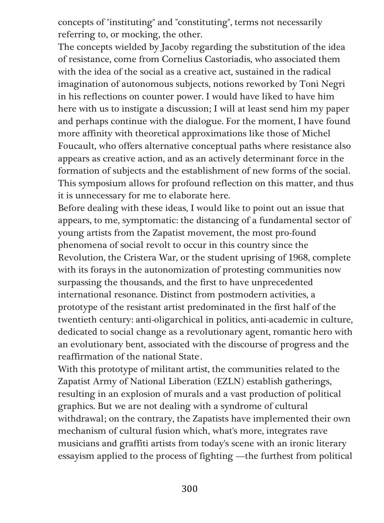concepts of "instituting" and "constituting", terms not necessarily referring to, or mocking, the other.

The concepts wielded by Jacoby regarding the substitution of the idea of resistance, come from Cornelius Castoriadis, who associated them with the idea of the social as a creative act, sustained in the radical imagination of autonomous subjects, notions reworked by Toni Negri in his reflections on counter power. I would have liked to have him here with us to instigate a discussion; I will at least send him my paper and perhaps continue with the dialogue. For the moment, I have found more affinity with theoretical approximations like those of Michel Foucault, who offers alternative conceptual paths where resistance also appears as creative action, and as an actively determinant force in the formation of subjects and the establishment of new forms of the social. This symposium allows for profound reflection on this matter, and thus it is unnecessary for me to elaborate here.

Before dealing with these ideas, I would like to point out an issue that appears, to me, symptomatic: the distancing of a fundamental sector of young artists from the Zapatist movement, the most pro-found phenomena of social revolt to occur in this country since the Revolution, the Cristera War, or the student uprising of 1968, complete with its forays in the autonomization of protesting communities now surpassing the thousands, and the first to have unprecedented international resonance. Distinct from postmodern activities, a prototype of the resistant artist predominated in the first half of the twentieth century: anti-oligarchical in politics, anti-academic in culture, dedicated to social change as a revolutionary agent, romantic hero with an evolutionary bent, associated with the discourse of progress and the reaffirmation of the national State.

With this prototype of militant artist, the communities related to the Zapatist Army of National Liberation (EZLN) establish gatherings, resulting in an explosion of murals and a vast production of political graphics. But we are not dealing with a syndrome of cultural withdrawal; on the contrary, the Zapatists have implemented their own mechanism of cultural fusion which, what's more, integrates rave musicians and graffiti artists from today's scene with an ironic literary essayism applied to the process of fighting —the furthest from political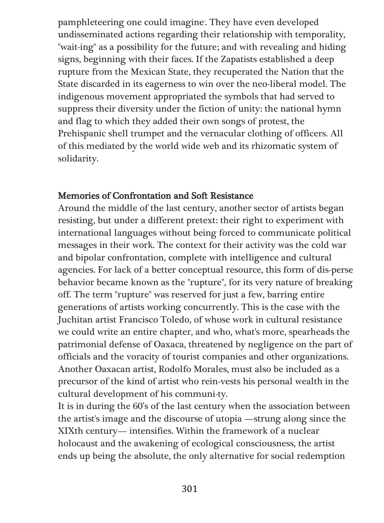pamphleteering one could imagine. They have even developed undisseminated actions regarding their relationship with temporality, "wait-ing" as a possibility for the future; and with revealing and hiding signs, beginning with their faces. If the Zapatists established a deep rupture from the Mexican State, they recuperated the Nation that the State discarded in its eagerness to win over the neo-liberal model. The indigenous movement appropriated the symbols that had served to suppress their diversity under the fiction of unity: the national hymn and flag to which they added their own songs of protest, the Prehispanic shell trumpet and the vernacular clothing of officers. All of this mediated by the world wide web and its rhizomatic system of solidarity.

### Memories of Confrontation and Soft Resistance

Around the middle of the last century, another sector of artists began resisting, but under a different pretext: their right to experiment with international languages without being forced to communicate political messages in their work. The context for their activity was the cold war and bipolar confrontation, complete with intelligence and cultural agencies. For lack of a better conceptual resource, this form of dis-perse behavior became known as the "rupture", for its very nature of breaking off. The term "rupture" was reserved for just a few, barring entire generations of artists working concurrently. This is the case with the Juchitan artist Francisco Toledo, of whose work in cultural resistance we could write an entire chapter, and who, what's more, spearheads the patrimonial defense of Oaxaca, threatened by negligence on the part of officials and the voracity of tourist companies and other organizations. Another Oaxacan artist, Rodolfo Morales, must also be included as a precursor of the kind of artist who rein-vests his personal wealth in the cultural development of his communi-ty.

It is in during the 60's of the last century when the association between the artist's image and the discourse of utopia —strung along since the XIXth century— intensifies. Within the framework of a nuclear holocaust and the awakening of ecological consciousness, the artist ends up being the absolute, the only alternative for social redemption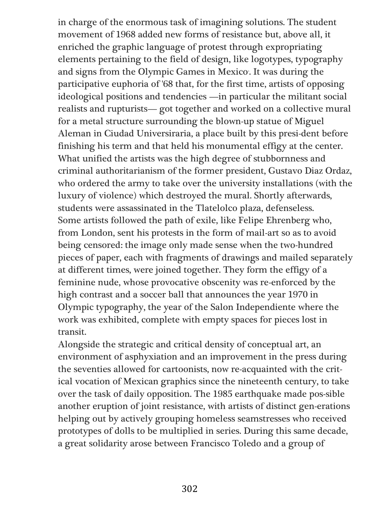in charge of the enormous task of imagining solutions. The student movement of 1968 added new forms of resistance but, above all, it enriched the graphic language of protest through expropriating elements pertaining to the field of design, like logotypes, typography and signs from the Olympic Games in Mexico. It was during the participative euphoria of '68 that, for the first time, artists of opposing ideological positions and tendencies —in particular the militant social realists and rupturists— got together and worked on a collective mural for a metal structure surrounding the blown-up statue of Miguel Aleman in Ciudad Universiraria, a place built by this presi-dent before finishing his term and that held his monumental effigy at the center. What unified the artists was the high degree of stubbornness and criminal authoritarianism of the former president, Gustavo Diaz Ordaz, who ordered the army to take over the university installations (with the luxury of violence) which destroyed the mural. Shortly afterwards, students were assassinated in the Tlatelolco plaza, defenseless. Some artists followed the path of exile, like Felipe Ehrenberg who, from London, sent his protests in the form of mail-art so as to avoid being censored: the image only made sense when the two-hundred pieces of paper, each with fragments of drawings and mailed separately at different times, were joined together. They form the effigy of a feminine nude, whose provocative obscenity was re-enforced by the high contrast and a soccer ball that announces the year 1970 in Olympic typography, the year of the Salon Independiente where the work was exhibited, complete with empty spaces for pieces lost in transit.

Alongside the strategic and critical density of conceptual art, an environment of asphyxiation and an improvement in the press during the seventies allowed for cartoonists, now re-acquainted with the critical vocation of Mexican graphics since the nineteenth century, to take over the task of daily opposition. The 1985 earthquake made pos-sible another eruption of joint resistance, with artists of distinct gen-erations helping out by actively grouping homeless seamstresses who received prototypes of dolls to be multiplied in series. During this same decade, a great solidarity arose between Francisco Toledo and a group of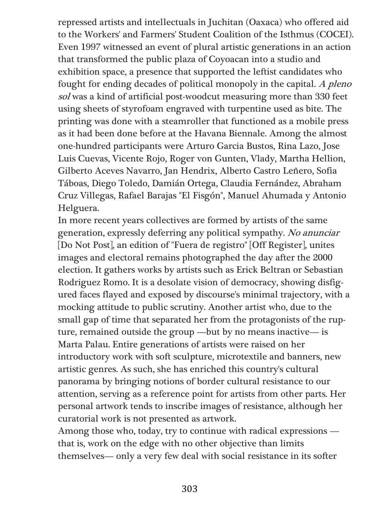repressed artists and intellectuals in Juchitan (Oaxaca) who offered aid to the Workers' and Farmers' Student Coalition of the Isthmus (COCEI). Even 1997 witnessed an event of plural artistic generations in an action that transformed the public plaza of Coyoacan into a studio and exhibition space, a presence that supported the leftist candidates who fought for ending decades of political monopoly in the capital. A pleno sol was a kind of artificial post-woodcut measuring more than 330 feet using sheets of styrofoam engraved with turpentine used as bite. The printing was done with a steamroller that functioned as a mobile press as it had been done before at the Havana Biennale. Among the almost one-hundred participants were Arturo Garcia Bustos, Rina Lazo, Jose Luis Cuevas, Vicente Rojo, Roger von Gunten, Vlady, Martha Hellion, Gilberto Aceves Navarro, Jan Hendrix, Alberto Castro Leñero, Sofia Táboas, Diego Toledo, Damián Ortega, Claudia Fernández, Abraham Cruz Villegas, Rafael Barajas "El Fisgón", Manuel Ahumada y Antonio Helguera.

In more recent years collectives are formed by artists of the same generation, expressly deferring any political sympathy. No anunciar [Do Not Post], an edition of "Fuera de registro" [Off Register], unites images and electoral remains photographed the day after the 2000 election. It gathers works by artists such as Erick Beltran or Sebastian Rodriguez Romo. It is a desolate vision of democracy, showing disfigured faces flayed and exposed by discourse's minimal trajectory, with a mocking attitude to public scrutiny. Another artist who, due to the small gap of time that separated her from the protagonists of the rupture, remained outside the group —but by no means inactive— is Marta Palau. Entire generations of artists were raised on her introductory work with soft sculpture, microtextile and banners, new artistic genres. As such, she has enriched this country's cultural panorama by bringing notions of border cultural resistance to our attention, serving as a reference point for artists from other parts. Her personal artwork tends to inscribe images of resistance, although her curatorial work is not presented as artwork.

Among those who, today, try to continue with radical expressions that is, work on the edge with no other objective than limits themselves— only a very few deal with social resistance in its softer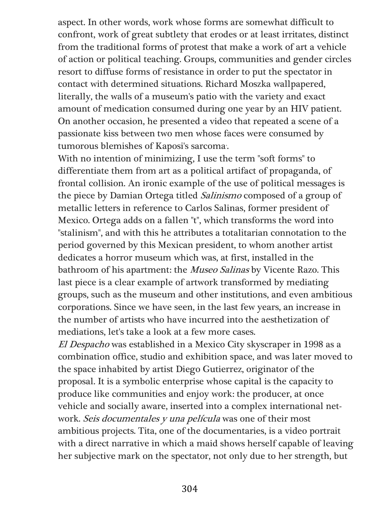aspect. In other words, work whose forms are somewhat difficult to confront, work of great subtlety that erodes or at least irritates, distinct from the traditional forms of protest that make a work of art a vehicle of action or political teaching. Groups, communities and gender circles resort to diffuse forms of resistance in order to put the spectator in contact with determined situations. Richard Moszka wallpapered, literally, the walls of a museum's patio with the variety and exact amount of medication consumed during one year by an HIV patient. On another occasion, he presented a video that repeated a scene of a passionate kiss between two men whose faces were consumed by tumorous blemishes of Kaposi's sarcoma.

With no intention of minimizing, I use the term "soft forms" to differentiate them from art as a political artifact of propaganda, of frontal collision. An ironic example of the use of political messages is the piece by Damian Ortega titled Salinismo composed of a group of metallic letters in reference to Carlos Salinas, former president of Mexico. Ortega adds on a fallen "t", which transforms the word into "stalinism", and with this he attributes a totalitarian connotation to the period governed by this Mexican president, to whom another artist dedicates a horror museum which was, at first, installed in the bathroom of his apartment: the Museo Salinas by Vicente Razo. This last piece is a clear example of artwork transformed by mediating groups, such as the museum and other institutions, and even ambitious corporations. Since we have seen, in the last few years, an increase in the number of artists who have incurred into the aesthetization of mediations, let's take a look at a few more cases.

El Despacho was established in a Mexico City skyscraper in 1998 as a combination office, studio and exhibition space, and was later moved to the space inhabited by artist Diego Gutierrez, originator of the proposal. It is a symbolic enterprise whose capital is the capacity to produce like communities and enjoy work: the producer, at once vehicle and socially aware, inserted into a complex international network. Seis documentales y una película was one of their most ambitious projects. Tita, one of the documentaries, is a video portrait with a direct narrative in which a maid shows herself capable of leaving her subjective mark on the spectator, not only due to her strength, but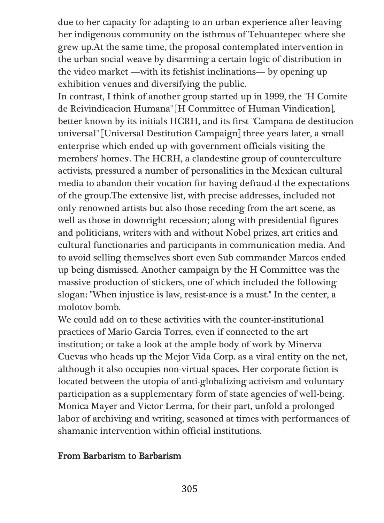due to her capacity for adapting to an urban experience after leaving her indigenous community on the isthmus of Tehuantepec where she grew up.At the same time, the proposal contemplated intervention in the urban social weave by disarming a certain logic of distribution in the video market —with its fetishist inclinations— by opening up exhibition venues and diversifying the public.

In contrast, I think of another group started up in 1999, the "H Comite de Reivindicacion Humana" [H Committee of Human Vindication], better known by its initials HCRH, and its first "Campana de destitucion universal" [Universal Destitution Campaign] three years later, a small enterprise which ended up with government officials visiting the members' homes. The HCRH, a clandestine group of counterculture activists, pressured a number of personalities in the Mexican cultural media to abandon their vocation for having defraud-d the expectations of the group.The extensive list, with precise addresses, included not only renowned artists but also those receding from the art scene, as well as those in downright recession; along with presidential figures and politicians, writers with and without Nobel prizes, art critics and cultural functionaries and participants in communication media. And to avoid selling themselves short even Sub commander Marcos ended up being dismissed. Another campaign by the H Committee was the massive production of stickers, one of which included the following slogan: "When injustice is law, resist-ance is a must." In the center, a molotov bomb.

We could add on to these activities with the counter-institutional practices of Mario Garcia Torres, even if connected to the art institution; or take a look at the ample body of work by Minerva Cuevas who heads up the Mejor Vida Corp. as a viral entity on the net, although it also occupies non-virtual spaces. Her corporate fiction is located between the utopia of anti-globalizing activism and voluntary participation as a supplementary form of state agencies of well-being. Monica Mayer and Victor Lerma, for their part, unfold a prolonged labor of archiving and writing, seasoned at times with performances of shamanic intervention within official institutions.

### From Barbarism to Barbarism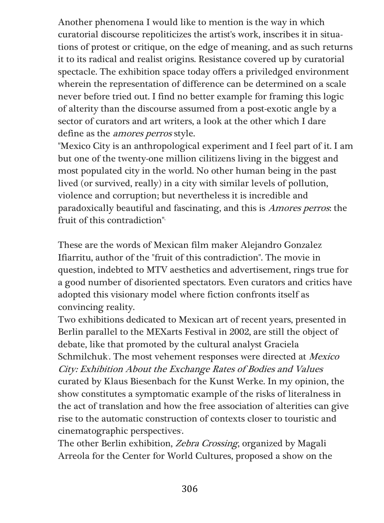Another phenomena I would like to mention is the way in which curatorial discourse repoliticizes the artist's work, inscribes it in situations of protest or critique, on the edge of meaning, and as such returns it to its radical and realist origins. Resistance covered up by curatorial spectacle. The exhibition space today offers a priviledged environment wherein the representation of difference can be determined on a scale never before tried out. I find no better example for framing this logic of alterity than the discourse assumed from a post-exotic angle by a sector of curators and art writers, a look at the other which I dare define as the amores perros style.

"Mexico City is an anthropological experiment and I feel part of it. I am but one of the twenty-one million cilitizens living in the biggest and most populated city in the world. No other human being in the past lived (or survived, really) in a city with similar levels of pollution, violence and corruption; but nevertheless it is incredible and paradoxically beautiful and fascinating, and this is Amores perros: the fruit of this contradiction"<sup>6</sup>

These are the words of Mexican film maker Alejandro Gonzalez Ifiarritu, author of the "fruit of this contradiction". The movie in question, indebted to MTV aesthetics and advertisement, rings true for a good number of disoriented spectators. Even curators and critics have adopted this visionary model where fiction confronts itself as convincing reality.

Two exhibitions dedicated to Mexican art of recent years, presented in Berlin parallel to the MEXarts Festival in 2002, are still the object of debate, like that promoted by the cultural analyst Graciela Schmilchuk. The most vehement responses were directed at Mexico City: Exhibition About the Exchange Rates of Bodies and Values curated by Klaus Biesenbach for the Kunst Werke. In my opinion, the show constitutes a symptomatic example of the risks of literalness in the act of translation and how the free association of alterities can give rise to the automatic construction of contexts closer to touristic and cinematographic perspectives.

The other Berlin exhibition, *Zebra Crossing*, organized by Magali Arreola for the Center for World Cultures, proposed a show on the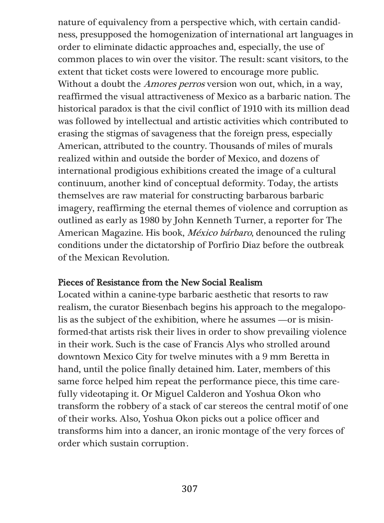nature of equivalency from a perspective which, with certain candidness, presupposed the homogenization of international art languages in order to eliminate didactic approaches and, especially, the use of common places to win over the visitor. The result: scant visitors, to the extent that ticket costs were lowered to encourage more public. Without a doubt the *Amores perros* version won out, which, in a way, reaffirmed the visual attractiveness of Mexico as a barbaric nation. The historical paradox is that the civil conflict of 1910 with its million dead was followed by intellectual and artistic activities which contributed to erasing the stigmas of savageness that the foreign press, especially American, attributed to the country. Thousands of miles of murals realized within and outside the border of Mexico, and dozens of international prodigious exhibitions created the image of a cultural continuum, another kind of conceptual deformity. Today, the artists themselves are raw material for constructing barbarous barbaric imagery, reaffirming the eternal themes of violence and corruption as outlined as early as 1980 by John Kenneth Turner, a reporter for The American Magazine. His book, México bárbaro, denounced the ruling conditions under the dictatorship of Porfirio Diaz before the outbreak of the Mexican Revolution.

#### Pieces of Resistance from the New Social Realism

Located within a canine-type barbaric aesthetic that resorts to raw realism, the curator Biesenbach begins his approach to the megalopolis as the subject of the exhibition, where he assumes —or is misinformed-that artists risk their lives in order to show prevailing violence in their work. Such is the case of Francis Alys who strolled around downtown Mexico City for twelve minutes with a 9 mm Beretta in hand, until the police finally detained him. Later, members of this same force helped him repeat the performance piece, this time carefully videotaping it. Or Miguel Calderon and Yoshua Okon who transform the robbery of a stack of car stereos the central motif of one of their works. Also, Yoshua Okon picks out a police officer and transforms him into a dancer, an ironic montage of the very forces of order which sustain corruption.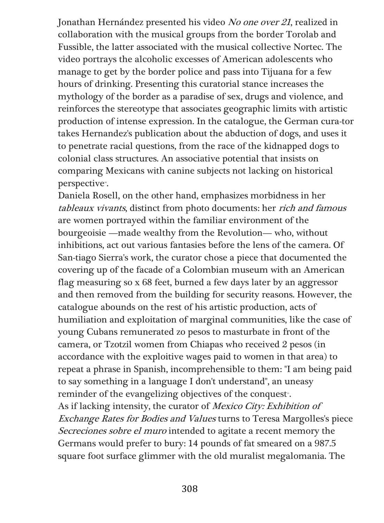Jonathan Hernández presented his video No one over <sup>21</sup>, realized in collaboration with the musical groups from the border Torolab and Fussible, the latter associated with the musical collective Nortec. The video portrays the alcoholic excesses of American adolescents who manage to get by the border police and pass into Tijuana for a few hours of drinking. Presenting this curatorial stance increases the mythology of the border as a paradise of sex, drugs and violence, and reinforces the stereotype that associates geographic limits with artistic production of intense expression. In the catalogue, the German cura-tor takes Hernandez's publication about the abduction of dogs, and uses it to penetrate racial questions, from the race of the kidnapped dogs to colonial class structures. An associative potential that insists on comparing Mexicans with canine subjects not lacking on historical perspective<sup>®</sup>.

Daniela Rosell, on the other hand, emphasizes morbidness in her tableaux vivants, distinct from photo documents: her rich and famous are women portrayed within the familiar environment of the bourgeoisie —made wealthy from the Revolution— who, without inhibitions, act out various fantasies before the lens of the camera. Of San-tiago Sierra's work, the curator chose a piece that documented the covering up of the facade of a Colombian museum with an American flag measuring so x 68 feet, burned a few days later by an aggressor and then removed from the building for security reasons. However, the catalogue abounds on the rest of his artistic production, acts of humiliation and exploitation of marginal communities, like the case of young Cubans remunerated zo pesos to masturbate in front of the camera, or Tzotzil women from Chiapas who received 2 pesos (in accordance with the exploitive wages paid to women in that area) to repeat a phrase in Spanish, incomprehensible to them: "I am being paid to say something in a language I don't understand", an uneasy reminder of the evangelizing objectives of the conquest<sup>®</sup>. As if lacking intensity, the curator of Mexico City: Exhibition of Exchange Rates for Bodies and Values turns to Teresa Margolles's piece Secreciones sobre el muro intended to agitate a recent memory the Germans would prefer to bury: 14 pounds of fat smeared on a 987.5 square foot surface glimmer with the old muralist megalomania. The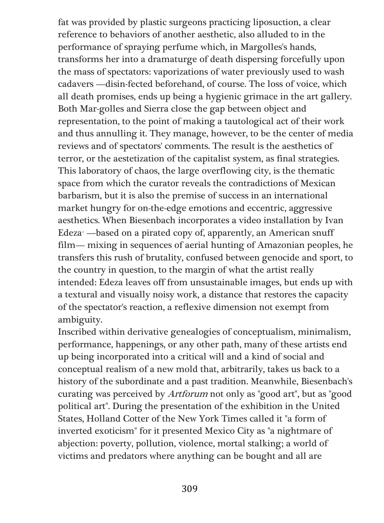fat was provided by plastic surgeons practicing liposuction, a clear reference to behaviors of another aesthetic, also alluded to in the performance of spraying perfume which, in Margolles's hands, transforms her into a dramaturge of death dispersing forcefully upon the mass of spectators: vaporizations of water previously used to wash cadavers —disin-fected beforehand, of course. The loss of voice, which all death promises, ends up being a hygienic grimace in the art gallery. Both Mar-golles and Sierra close the gap between object and representation, to the point of making a tautological act of their work and thus annulling it. They manage, however, to be the center of media reviews and of spectators' comments. The result is the aesthetics of terror, or the aestetization of the capitalist system, as final strategies. This laboratory of chaos, the large overflowing city, is the thematic space from which the curator reveals the contradictions of Mexican barbarism, but it is also the premise of success in an international market hungry for on-the-edge emotions and eccentric, aggressive aesthetics. When Biesenbach incorporates a video installation by Ivan Edeza<sup>*n*</sup> —based on a pirated copy of, apparently, an American snuff film— mixing in sequences of aerial hunting of Amazonian peoples, he transfers this rush of brutality, confused between genocide and sport, to the country in question, to the margin of what the artist really intended: Edeza leaves off from unsustainable images, but ends up with a textural and visually noisy work, a distance that restores the capacity of the spectator's reaction, a reflexive dimension not exempt from ambiguity.

Inscribed within derivative genealogies of conceptualism, minimalism, performance, happenings, or any other path, many of these artists end up being incorporated into a critical will and a kind of social and conceptual realism of a new mold that, arbitrarily, takes us back to a history of the subordinate and a past tradition. Meanwhile, Biesenbach's curating was perceived by Artforum not only as "good art", but as "good political art". During the presentation of the exhibition in the United States, Holland Cotter of the New York Times called it "a form of inverted exoticism" for it presented Mexico City as "a nightmare of abjection: poverty, pollution, violence, mortal stalking; a world of victims and predators where anything can be bought and all are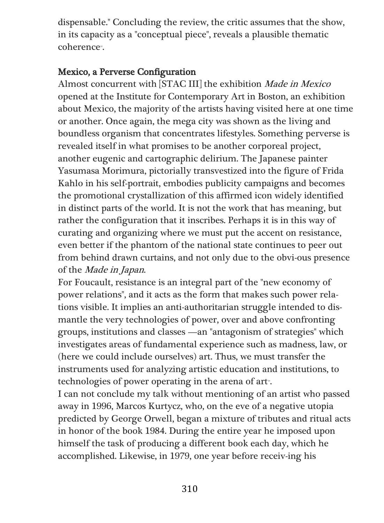dispensable." Concluding the review, the critic assumes that the show, in its capacity as a "conceptual piece", reveals a plausible thematic coherence<sup>3</sup>.

## Mexico, a Perverse Configuration

Almost concurrent with [STAC III] the exhibition Made in Mexico opened at the Institute for Contemporary Art in Boston, an exhibition about Mexico, the majority of the artists having visited here at one time or another. Once again, the mega city was shown as the living and boundless organism that concentrates lifestyles. Something perverse is revealed itself in what promises to be another corporeal project, another eugenic and cartographic delirium. The Japanese painter Yasumasa Morimura, pictorially transvestized into the figure of Frida Kahlo in his self-portrait, embodies publicity campaigns and becomes the promotional crystallization of this affirmed icon widely identified in distinct parts of the world. It is not the work that has meaning, but rather the configuration that it inscribes. Perhaps it is in this way of curating and organizing where we must put the accent on resistance, even better if the phantom of the national state continues to peer out from behind drawn curtains, and not only due to the obvi-ous presence of the Made in Japan.

For Foucault, resistance is an integral part of the "new economy of power relations", and it acts as the form that makes such power relations visible. It implies an anti-authoritarian struggle intended to dismantle the very technologies of power, over and above confronting groups, institutions and classes —an "antagonism of strategies" which investigates areas of fundamental experience such as madness, law, or (here we could include ourselves) art. Thus, we must transfer the instruments used for analyzing artistic education and institutions, to technologies of power operating in the arena of art<sup>\*</sup>.

I can not conclude my talk without mentioning of an artist who passed away in 1996, Marcos Kurtycz, who, on the eve of a negative utopia predicted by George Orwell, began a mixture of tributes and ritual acts in honor of the book 1984. During the entire year he imposed upon himself the task of producing a different book each day, which he accomplished. Likewise, in 1979, one year before receiv-ing his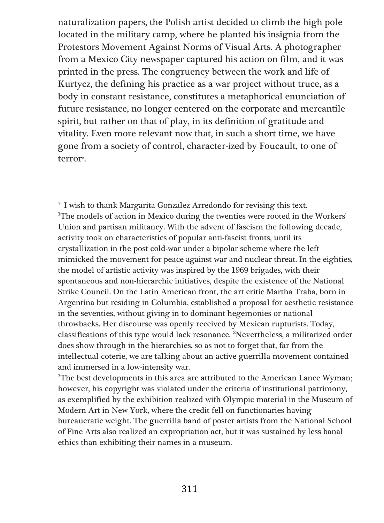naturalization papers, the Polish artist decided to climb the high pole located in the military camp, where he planted his insignia from the Protestors Movement Against Norms of Visual Arts. A photographer from a Mexico City newspaper captured his action on film, and it was printed in the press. The congruency between the work and life of Kurtycz, the defining his practice as a war project without truce, as a body in constant resistance, constitutes a metaphorical enunciation of future resistance, no longer centered on the corporate and mercantile spirit, but rather on that of play, in its definition of gratitude and vitality. Even more relevant now that, in such a short time, we have gone from a society of control, character-ized by Foucault, to one of terror<sup>5</sup>.

\* I wish to thank Margarita Gonzalez Arredondo for revising this text. <sup>1</sup>The models of action in Mexico during the twenties were rooted in the Workers' Union and partisan militancy. With the advent of fascism the following decade, activity took on characteristics of popular anti-fascist fronts, until its crystallization in the post cold-war under a bipolar scheme where the left mimicked the movement for peace against war and nuclear threat. In the eighties, the model of artistic activity was inspired by the 1969 brigades, with their spontaneous and non-hierarchic initiatives, despite the existence of the National Strike Council. On the Latin American front, the art critic Martha Traba, born in Argentina but residing in Columbia, established a proposal for aesthetic resistance in the seventies, without giving in to dominant hegemonies or national throwbacks. Her discourse was openly received by Mexican rupturists. Today, classifications of this type would lack resonance. <sup>2</sup>Nevertheless, a militarized order does show through in the hierarchies, so as not to forget that, far from the intellectual coterie, we are talking about an active guerrilla movement contained and immersed in a low-intensity war.

<sup>3</sup>The best developments in this area are attributed to the American Lance Wyman; however, his copyright was violated under the criteria of institutional patrimony, as exemplified by the exhibition realized with Olympic material in the Museum of Modern Art in New York, where the credit fell on functionaries having bureaucratic weight. The guerrilla band of poster artists from the National School of Fine Arts also realized an expropriation act, but it was sustained by less banal ethics than exhibiting their names in a museum.